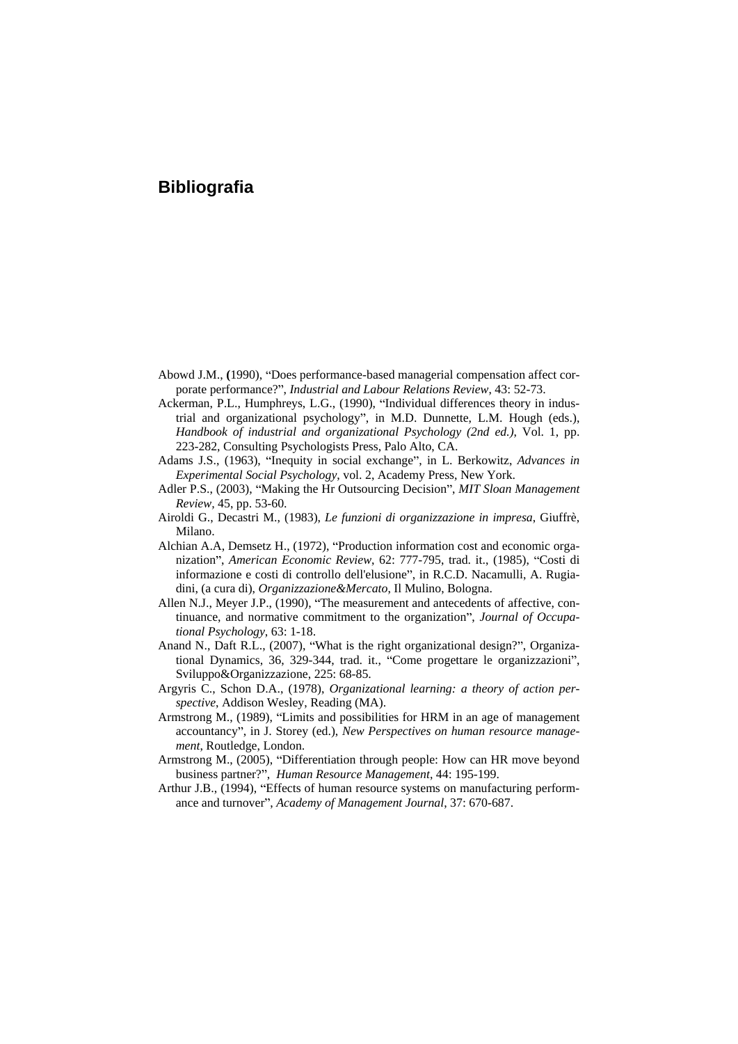## **Bibliografia**

- Abowd J.M., (1990), "Does performance-based managerial compensation affect corporate performance?", *Industrial and Labour Relations Review*, 43: 52-73.
- Ackerman, P.L., Humphreys, L.G., (1990), "Individual differences theory in industrial and organizational psychology", in M.D. Dunnette, L.M. Hough (eds.), *Handbook of industrial and organizational Psychology(2nd ed.)*, Vol. 1, pp. 223-282, Consulting Psychologists Press, Palo Alto, CA.
- Adams J.S., (1963), "Inequity in social exchange", in L. Berkowitz, *Advances in Experimental Social Psychology*, vol. 2, Academy Press, New York.
- Adler P.S., (2003), "Making the Hr Outsourcing Decision", *MIT Sloan Management Review,* 45, pp. 53-60.
- Airoldi G., Decastri M., (1983), *Le funzioni di organizzazione in impresa*, Giuffrè, Milano.
- Alchian A.A, Demsetz H., (1972), "Production information cost and economic organization", *American Economic Review*, 62: 777-795, trad. it., (1985), "Costi di informazione e costi di controllo dell'elusione", in R.C.D. Nacamulli, A. Rugiadini, (a cura di), *Organizzazione&Mercato*, Il Mulino, Bologna.
- Allen N.J., Meyer J.P., (1990), "The measurement and antecedents of affective, continuance, and normative commitment to the organization", *Journal of Occupational Psychology*, 63: 1-18.
- Anand N., Daft R.L., (2007), "What is the right organizational design?", Organizational Dynamics, 36, 329-344, trad. it., "Come progettare le organizzazioni", Sviluppo&Organizzazione, 225: 68-85.
- Argyris C., Schon D.A., (1978), *Organizational learning: a theory of action per spective*, Addison Wesley, Reading (MA).
- Armstrong M., (1989), "Limits and possibilities for HRM in an age of management accountancy", in J. Storey (ed.), *New Perspectives on human resource management*, Routledge, London.
- Armstrong M., (2005), "Differentiation through people: How can HR move beyond business partner?", *Human Resource Management*, 44: 195-199.
- Arthur J.B., (1994), "Effects of human resource systems on manufacturing performance and turnover", *Academy of Management Journal*, 37: 670-687.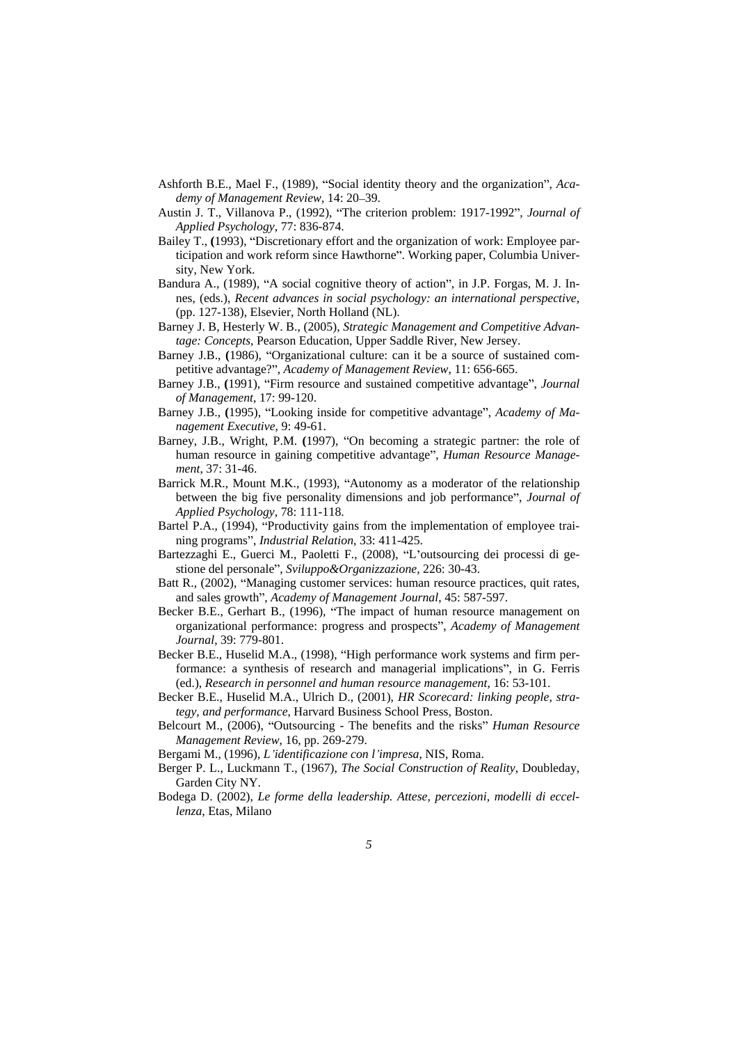- Ashforth B.E., Mael F., (1989), "Social identity theory and the organization", *Academy of Management Review, 14: 20-39.*
- Austin J. T., Villanova P., (1992), "The criterion problem: 1917-1992", *Journal of Applied Psychology*, 77: 836-874.
- Bailey T., (1993), "Discretionary effort and the organization of work: Employee participation and work reform since Hawthorne". Working paper, Columbia University, New York.
- Bandura A., (1989), "A social cognitive theory of action", in J.P. Forgas, M. J. Innes, (eds.), *Recent advances in social psychology: an international perspective,* (pp. 127-138), Elsevier, North Holland (NL).
- Barney J. B, Hesterly W. B., (2005), *Strategic Management and Competitive Advantage: Concepts*, Pearson Education, Upper Saddle River, New Jersey.
- Barney J.B., (1986), "Organizational culture: can it be a source of sustained competitive advantage?", Academy of Management Review, 11: 656-665.
- Barney J.B., (1991), "Firm resource and sustained competitive advantage", *Journal of Management*, 17: 99-120.
- Barney J.B., (1995), "Looking inside for competitive advantage", *Academy of Management Executive*, 9: 49-61.
- Barney, J.B., Wright, P.M. (1997), "On becoming a strategic partner: the role of human resource in gaining competitive advantage , *Human Resource Management*, 37: 31-46.
- Barrick M.R., Mount M.K., (1993), "Autonomy as a moderator of the relationship between the big five personality dimensions and job performance", *Journal of Applied Psychology*, 78: 111-118.
- Bartel P.A., (1994), "Productivity gains from the implementation of employee training programs", *Industrial Relation*, 33: 411-425.
- Bartezzaghi E., Guerci M., Paoletti F., (2008), "L'outsourcing dei processi di gestione del personale", *Sviluppo&Organizzazione*, 226: 30-43.
- Batt R., (2002), "Managing customer services: human resource practices, quit rates, and sales growth", *Academy of Management Journal*, 45: 587-597.
- Becker B.E., Gerhart B., (1996), "The impact of human resource management on organizational performance: progress and prospects , *Academy of Management Journal*, 39: 779-801.
- Becker B.E., Huselid M.A., (1998), "High performance work systems and firm performance: a synthesis of research and managerial implications", in G. Ferris (ed.), *Research in personnel and human resource management*, 16: 53-101.
- Becker B.E., Huselid M.A., Ulrich D., (2001), *HR Scorecard: linking people, strategy, and performance*, Harvard Business School Press, Boston.
- Belcourt M., (2006), "Outsourcing The benefits and the risks" *Human Resource Management Review*, 16, pp. 269-279.
- Bergami M., (1996), *L identificazione con l impresa*, NIS, Roma.
- Berger P. L., Luckmann T., (1967), *The Social Construction of Reality*, Doubleday, Garden City NY.
- Bodega D. (2002), *Le forme della leadership. Attese, percezioni, modelli di eccellenza*, Etas, Milano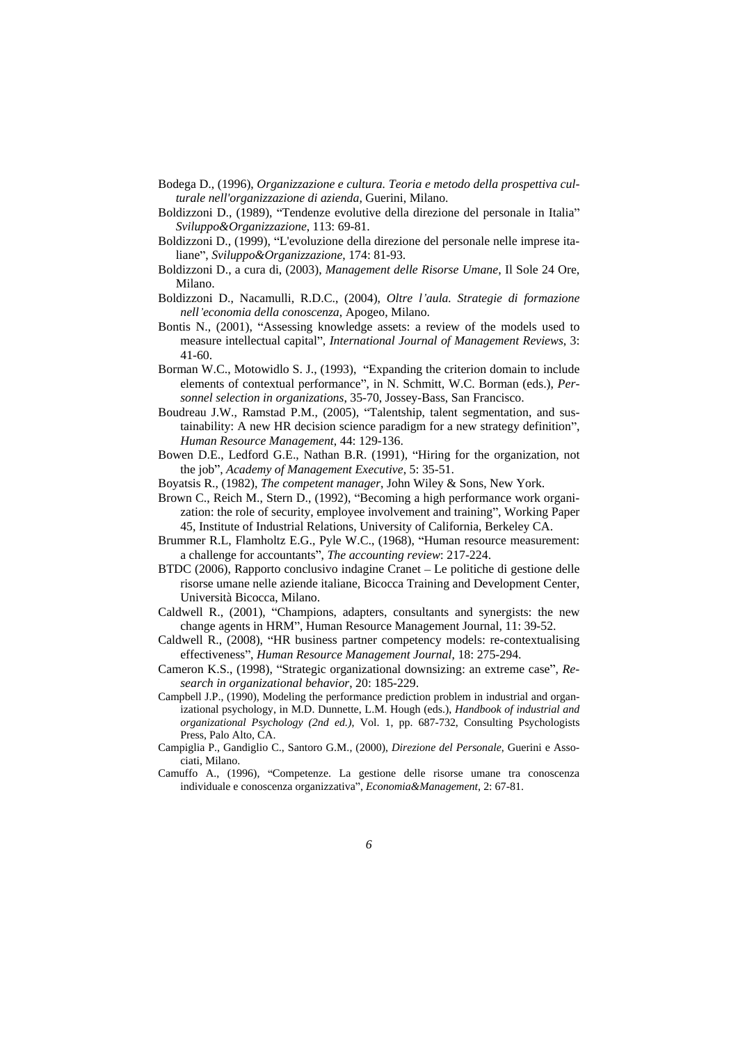- Bodega D., (1996), *Organizzazione e cultura. Teoria e metodo della prospettiva culturale nell'organizzazione di azienda*, Guerini, Milano.
- Boldizzoni D., (1989), "Tendenze evolutive della direzione del personale in Italia" *Sviluppo&Organizzazione*, 113: 69-81.
- Boldizzoni D., (1999), "L'evoluzione della direzione del personale nelle imprese italiane", *Sviluppo&Organizzazione*, 174: 81-93.
- Boldizzoni D., a cura di, (2003), *Management delle Risorse Umane*, Il Sole 24 Ore, Milano.
- Boldizzoni D., Nacamulli, R.D.C., (2004), *Oltre <sup>l</sup> aula. Strategie di formazione nell economia della conoscenza*, Apogeo, Milano.
- Bontis N., (2001), "Assessing knowledge assets: a review of the models used to measure intellectual capital", *International Journal of Management Reviews*, 3: 41-60.
- Borman W.C., Motowidlo S. J., (1993), "Expanding the criterion domain to include elements of contextual performance", in N. Schmitt, W.C. Borman (eds.), Per*sonnel selection in organizations*, 35-70, Jossey-Bass, San Francisco.
- Boudreau J.W., Ramstad P.M., (2005), "Talentship, talent segmentation, and sustainability: A new HR decision science paradigm for a new strategy definition", *Human Resource Management*, 44: 129-136.
- Bowen D.E., Ledford G.E., Nathan B.R. (1991), "Hiring for the organization, not the job", *Academy of Management Executive*, 5: 35-51.
- Boyatsis R., (1982), *The competent manager*, John Wiley & Sons, New York.<br>Brown C., Reich M., Stern D., (1992), "Becoming a high performance work organi-
- zation: the role of security, employee involvement and training", Working Paper 45, Institute of Industrial Relations, University of California, Berkeley CA.
- Brummer R.L, Flamholtz E.G., Pyle W.C., (1968), "Human resource measurement: a challenge for accountants", *The accounting review*: 217-224.
- BTDC (2006), Rapporto conclusivo indagine Cranet Le politiche di gestione delle risorse umane nelle aziende italiane, Bicocca Training and Development Center, Università Bicocca, Milano.
- Caldwell R., (2001), "Champions, adapters, consultants and synergists: the new change agents in HRM", Human Resource Management Journal, 11: 39-52.
- Caldwell R., (2008), "HR business partner competency models: re-contextualising effectiveness", *Human Resource Management Journal*, 18: 275-294.
- Cameron K.S., (1998), "Strategic organizational downsizing: an extreme case", Re*search in organizational behavior*, 20: 185-229.
- Campbell J.P., (1990), Modeling the performance prediction problem in industrial and organizational psychology, in M.D. Dunnette, L.M. Hough (eds.), *Handbook of industrial and organizational Psychology (2nd ed.)*, Vol. 1, pp. 687-732, Consulting Psychologists Press, Palo Alto, CA.
- Campiglia P., Gandiglio C., Santoro G.M., (2000), *Direzione del Personale*, Guerini e Asso ciati, Milano.
- Camuffo A., (1996), "Competenze. La gestione delle risorse umane tra conoscenza individuale e conoscenza organizzativa", *Economia&Management*, 2: 67-81.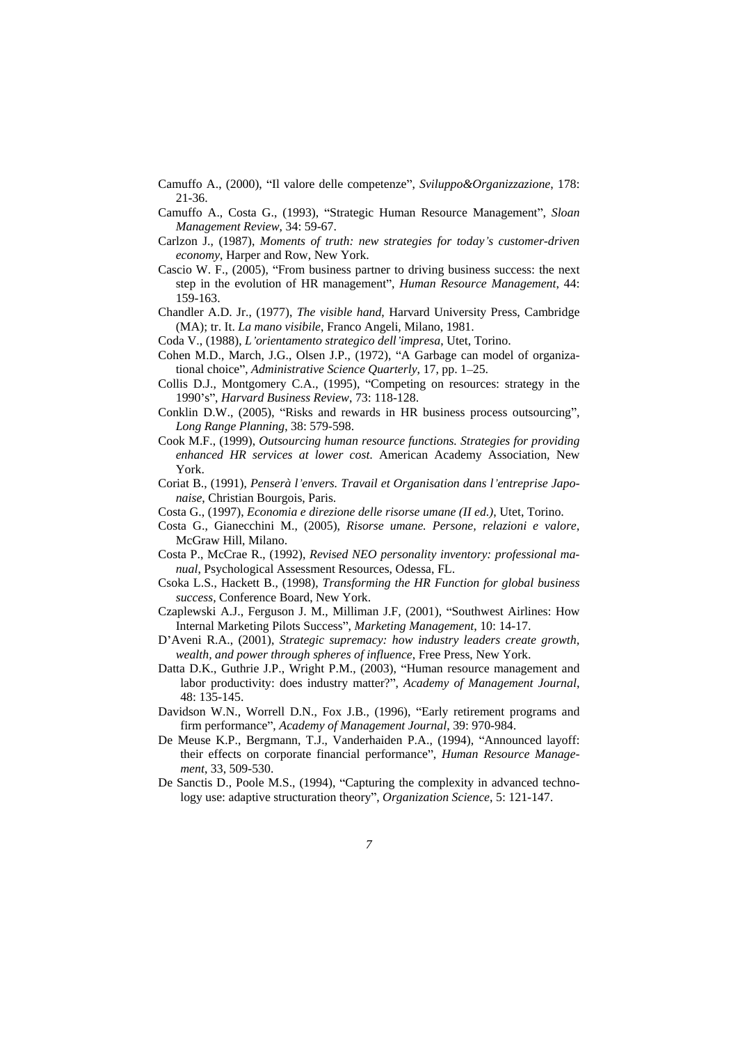- Camuffo A., (2000), "Il valore delle competenze", *Sviluppo&Organizzazione*, 178: 21-36.
- Camuffo A., Costa G., (1993), "Strategic Human Resource Management", *Sloan Management Review*, 34: 59-67.
- Carlzon J., (1987), *Moments of truth: new strategies for today s customer-driven economy*, Harper and Row, New York.
- Cascio W. F.,  $(2005)$ , "From business partner to driving business success: the next step in the evolution of HR management", *Human Resource Management*, 44: 159-163.
- Chandler A.D. Jr., (1977), *The visible hand*, Harvard University Press, Cambridge (MA); tr. It. *La mano visibile*, Franco Angeli, Milano, 1981.
- Coda V., (1988), *L orientamento strategico dell impresa*, Utet, Torino.
- Cohen M.D., March, J.G., Olsen J.P., (1972), "A Garbage can model of organizational choice", *Administrative Science Quarterly*, 17, pp. 1-25.
- Collis D.J., Montgomery C.A., (1995), "Competing on resources: strategy in the 1990 s , *Harvard Business Review*, 73: 118-128.
- Conklin D.W., (2005), "Risks and rewards in HR business process outsourcing", *Long Range Planning*, 38: 579-598.
- Cook M.F., (1999), *Outsourcing human resource functions. Strategies for providing enhanced HR services at lower cost*. American Academy Association, New York.
- Coriat B., (1991), *Penserà l envers. Travail et Organisation dans l entreprise Japonaise*, Christian Bourgois, Paris.
- Costa G., (1997), *Economia e direzione delle risorse umane (II ed.)*, Utet, Torino.
- Costa G., Gianecchini M., (2005), *Risorse umane. Persone, relazioni <sup>e</sup> valore*, McGraw Hill, Milano.
- Costa P., McCrae R., (1992), *Revised NEO personality inventory: professional ma nual*, Psychological Assessment Resources, Odessa, FL.
- Csoka L.S., Hackett B., (1998), *Transforming the HR Function for global business success,* Conference Board, New York.
- Czaplewski A.J., Ferguson J. M., Milliman J.F, (2001), "Southwest Airlines: How Internal Marketing Pilots Success", *Marketing Management*, 10: 14-17.
- D Aveni R.A., (2001), *Strategic supremacy: how industry leaders create growth, wealth, and power through spheres of influence*, Free Press, New York.
- Datta D.K., Guthrie J.P., Wright P.M., (2003), "Human resource management and labor productivity: does industry matter?", *Academy of Management Journal*, 48: 135-145.
- Davidson W.N., Worrell D.N., Fox J.B., (1996), "Early retirement programs and firm performance", *Academy of Management Journal*, 39: 970-984.
- De Meuse K.P., Bergmann, T.J., Vanderhaiden P.A., (1994), "Announced layoff: their effects on corporate financial performance , *Human Resource Management*, 33, 509-530.
- De Sanctis D., Poole M.S., (1994), "Capturing the complexity in advanced technology use: adaptive structuration theory", *Organization Science*, 5: 121-147.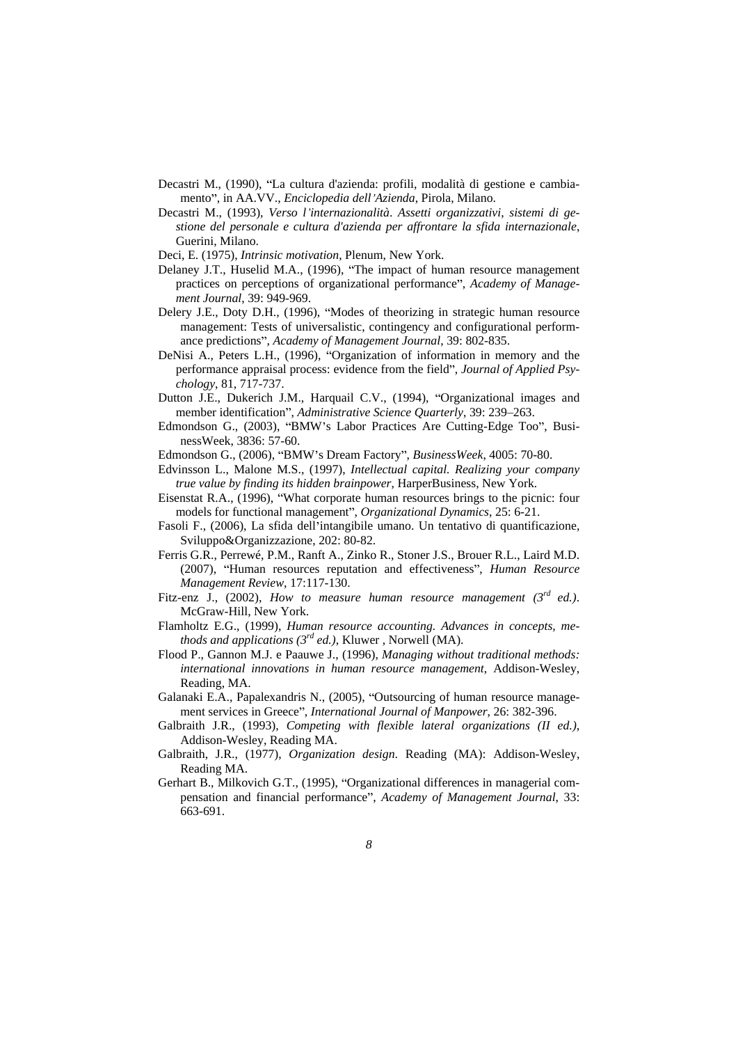- Decastri M., (1990), "La cultura d'azienda: profili, modalità di gestione e cambiamento , in AA.VV., *Enciclopedia dell Azienda*, Pirola, Milano.
- Decastri M., (1993), *Verso l internazionalità*. *Assetti organizzativi, sistemi di gestione del personale <sup>e</sup> cultura d'azienda per af rontare la sfida internazionale*, Guerini, Milano.
- Deci, E. (1975), *Intrinsic motivation*, Plenum, New York.
- Delaney J.T., Huselid M.A., (1996), "The impact of human resource management practices on perceptions of organizational performance", Academy of Manage*ment Journal*, 39: 949-969.
- Delery J.E., Doty D.H., (1996), "Modes of theorizing in strategic human resource management: Tests of universalistic, contingency and configurational performance predictions", *Academy of Management Journal*, 39: 802-835.
- DeNisi A., Peters L.H., (1996), "Organization of information in memory and the performance appraisal process: evidence from the field", *Journal of Applied Psychology*, 81, 717-737.
- Dutton J.E., Dukerich J.M., Harquail C.V., (1994), "Organizational images and member identification", *Administrative Science Quarterly*, 39: 239-263.
- Edmondson G., (2003), "BMW's Labor Practices Are Cutting-Edge Too", BusinessWeek, 3836: 57-60.
- Edmondson G., (2006), "BMW's Dream Factory", *BusinessWeek*, 4005: 70-80.
- Edvinsson L., Malone M.S., (1997), *Intellectual capital. Realizing your company true value by finding its hidden brainpower*, HarperBusiness, New York.
- Eisenstat R.A., (1996), "What corporate human resources brings to the picnic: four models for functional management", *Organizational Dynamics*, 25: 6-21.
- Fasoli F., (2006), La sfida dell intangibile umano. Un tentativo di quantificazione, Sviluppo&Organizzazione, 202: 80-82.
- Ferris G.R., Perrewé, P.M., Ranft A., Zinko R., Stoner J.S., Brouer R.L., Laird M.D. (2007), "Human resources reputation and effectiveness", *Human Resource Management Review*, 17:117-130.
- Fitz-enz J., (2002), *How to measure human resource management* (3<sup>*rd ed.)*. McGraw-Hill, New York.</sup>
- Flamholtz E.G., (1999), *Human resource accounting. Advances in concepts, methods and applications (3rd ed.)*, Kluwer , Norwell (MA).
- Flood P., Gannon M.J. e Paauwe J., (1996), *Managing without traditional methods: international innovations in human resource management*, Addison-Wesley, Reading, MA.
- Galanaki E.A., Papalexandris N., (2005), "Outsourcing of human resource management services in Greece", *International Journal of Manpower*, 26: 382-396.
- Galbraith J.R., (1993), *Competing with flexible lateral organizations (II ed.)*, Addison-Wesley, Reading MA.
- Galbraith, J.R., (1977), *Organization design*. Reading (MA): Addison-Wesley, Reading MA.
- Gerhart B., Milkovich G.T., (1995), "Organizational differences in managerial compensation and financial performance , *Academy of Management Journal*, 33: 663-691.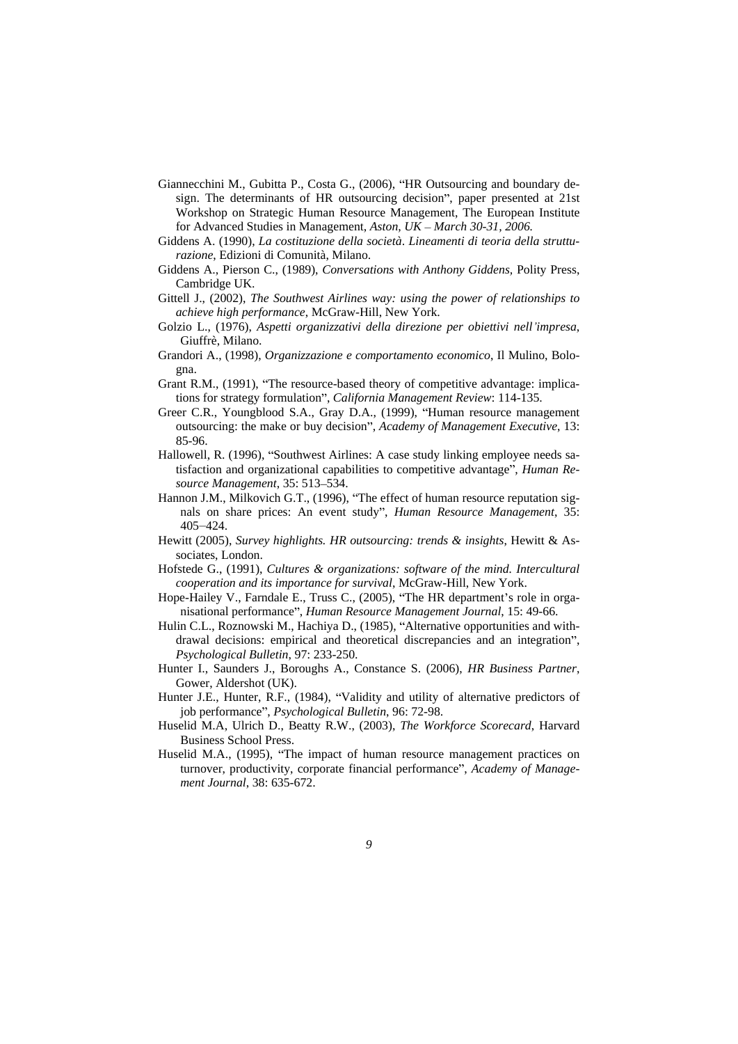- Giannecchini M., Gubitta P., Costa G., (2006), "HR Outsourcing and boundary design. The determinants of HR outsourcing decision", paper presented at 21st Workshop on Strategic Human Resource Management, The European Institute for Advanced Studies in Management, *Aston, UK – March 30-31, 2006.*
- Giddens A. (1990), *La costituzione della società*. *Lineamenti di teoria della strutturazione*, Edizioni di Comunità, Milano.
- Giddens A., Pierson C., (1989), *Conversations with Anthony Giddens,* Polity Press, Cambridge UK.
- Gittell J., (2002), *The Southwest Airlines way: using the power of relationships to achieve high performance*, McGraw-Hill, New York.
- Golzio L., (1976), *Aspetti organizzativi della direzione per obiettivi nell impresa*, Giuffrè, Milano.
- Grandori A., (1998), *Organizzazione e comportamento economico*, Il Mulino, Bologna.
- Grant R.M., (1991), "The resource-based theory of competitive advantage: implications for strategy formulation", *California Management Review*: 114-135.
- Greer C.R., Youngblood S.A., Gray D.A., (1999), "Human resource management outsourcing: the make or buy decision", *Academy of Management Executive*, 13:  $85-96.$
- Hallowell, R. (1996), "Southwest Airlines: A case study linking employee needs satisfaction and organizational capabilities to competitive advantage", *Human Resource Management*, 35: 513 534.
- Hannon J.M., Milkovich G.T., (1996), "The effect of human resource reputation signals on share prices: An event study", *Human Resource Management*, 35:  $405 - 424.$
- Hewitt (2005), *Survey highlights. HR outsourcing: trends & insights*, Hewitt & Associates, London.
- Hofstede G., (1991), *Cultures & organizations: software of the mind. Intercultural cooperation and its importance for survival*, McGraw-Hill, New York.
- Hope-Hailey V., Farndale E., Truss C., (2005), "The HR department's role in organisational performance", *Human Resource Management Journal*, 15: 49-66.
- Hulin C.L., Roznowski M., Hachiya D., (1985), "Alternative opportunities and withdrawal decisions: empirical and theoretical discrepancies and an integration", *Psychological Bulletin*, 97: 233-250.
- Hunter I., Saunders J., Boroughs A., Constance S. (2006), *HR Business Partner*, Gower, Aldershot (UK).
- Hunter J.E., Hunter, R.F., (1984), "Validity and utility of alternative predictors of job performance", *Psychological Bulletin*, 96: 72-98.
- Huselid M.A, Ulrich D., Beatty R.W., (2003), *The Workforce Scorecard*, Harvard Business School Press.
- Huselid M.A., (1995), "The impact of human resource management practices on turnover, productivity, corporate financial performance , *Academy of Management Journal*, 38: 635-672.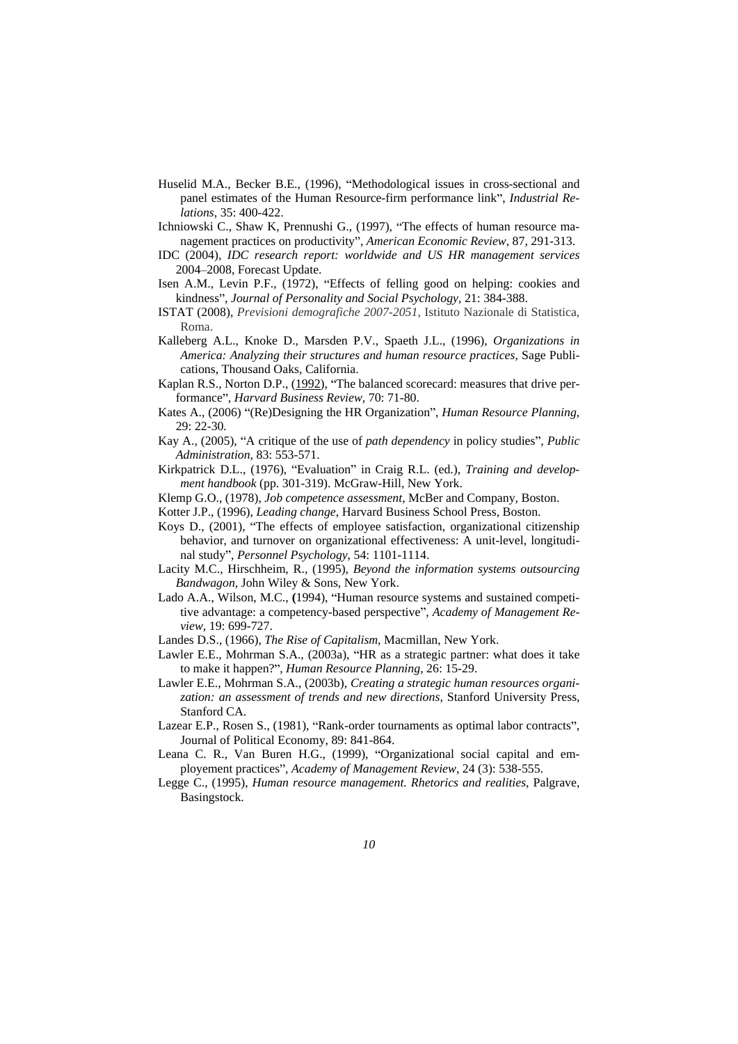- Huselid M.A., Becker B.E., (1996), "Methodological issues in cross-sectional and panel estimates of the Human Resource-firm performance link", *Industrial Relations,* 35: 400-422.
- Ichniowski C., Shaw K. Prennushi G., (1997), "The effects of human resource management practices on productivity", *American Economic Review*, 87, 291-313.
- IDC (2004), *IDC research report: worldwide and US HR management services* 2004 2008, Forecast Update.
- Isen A.M., Levin P.F., (1972), "Effects of felling good on helping: cookies and kindness", *Journal of Personality and Social Psychology*, 21: 384-388.
- ISTAT (2008), *Previsioni demografiche 2007-2051*, Istituto Nazionale di Statistica, Roma. **Example 20** Second 20 April 20 Second 20 April 20 Second 20 April 20 Second 20 April 20 Second 20 April 20 Second 20 April 20 Second 20 Second 20 April 20 Second 20 April 20 Second 20 April 20 Second 20 Second 20 Se
- Kalleberg A.L., Knoke D., Marsden P.V., Spaeth J.L., (1996), *Organizations in America: Analyzing their structures and human resource practices*, Sage Publications, Thousand Oaks, California.
- Kaplan R.S., Norton D.P., (1992), "The balanced scorecard: measures that drive performance", *Harvard Business Review, 70: 71-80.*
- Kates A., (2006) "(Re)Designing the HR Organization", *Human Resource Planning*, 29: 22-30*.*
- Kay A., (2005), "A critique of the use of *path dependency* in policy studies", *Public Administration*, 83: 553-571.
- Kirkpatrick D.L., (1976), "Evaluation" in Craig R.L. (ed.), *Training and development handbook* (pp. 301-319). McGraw-Hill, New York.
- Klemp G.O., (1978), *Job competence assessment*, McBer and Company, Boston.
- Kotter J.P., (1996), *Leading change*, Harvard Business School Press, Boston.
- Koys D., (2001), "The effects of employee satisfaction, organizational citizenship behavior, and turnover on organizational effectiveness: A unit-level, longitudinal study , *Personnel Psychology*, 54: 1101-1114.
- Lacity M.C., Hirschheim, R., (1995), *Beyond the information systems outsourcing Bandwagon*, John Wiley & Sons, New York.
- Lado A.A., Wilson, M.C., (1994), "Human resource systems and sustained competitive advantage: a competency-based perspective", Academy of Management Re*view*, 19: 699-727.
- Landes D.S., (1966), *The Rise of Capitalism*, Macmillan, New York.
- Lawler E.E., Mohrman S.A., (2003a), "HR as a strategic partner: what does it take to make it happen?", *Human Resource Planning*, 26: 15-29.
- Lawler E.E., Mohrman S.A., (2003b), *Creating a strategic human resources organization: an assessment of trends and new directions*, Stanford University Press, Stanford CA.
- Lazear E.P., Rosen S., (1981), "Rank-order tournaments as optimal labor contracts", Journal of Political Economy, 89: 841-864.
- Leana C. R., Van Buren H.G., (1999), "Organizational social capital and employement practices *, Academy of Management Review*, 24 (3): 538-555.
- Legge C., (1995), *Human resource management. Rhetorics and realities*, Palgrave, Basingstock.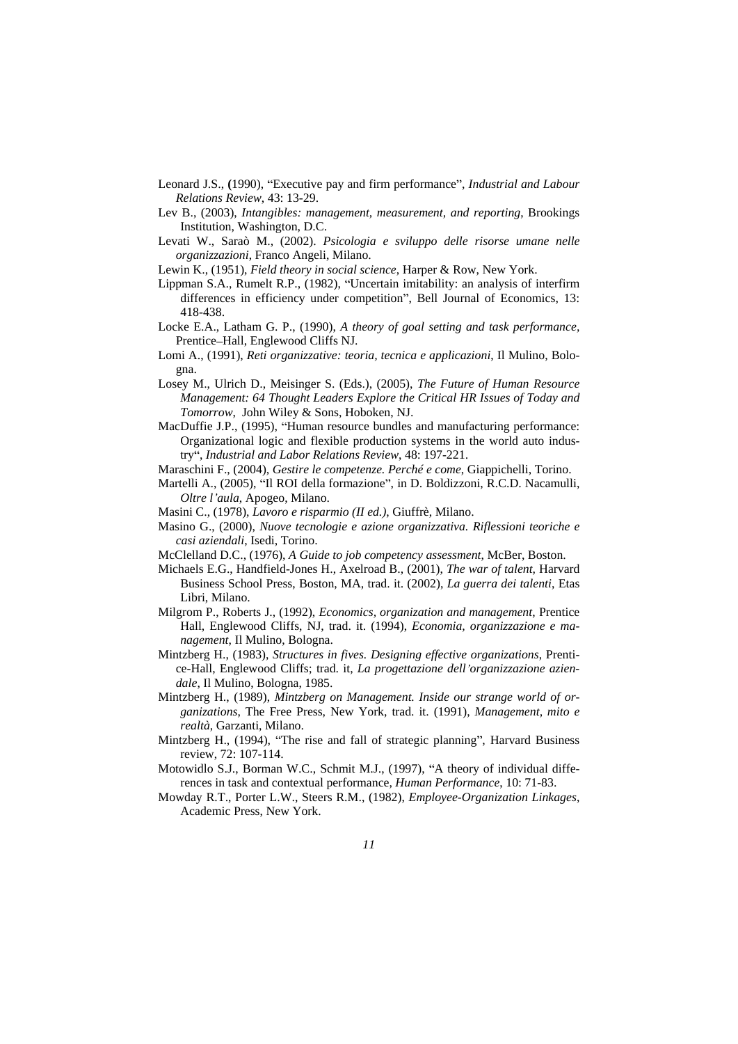- Leonard J.S., (1990), "Executive pay and firm performance", *Industrial and Labour Relations Review*, 43: 13-29.
- Lev B., (2003), *Intangibles: management, measurement, and reporting*, Brookings Institution, Washington, D.C.
- Levati W., Saraò M., (2002). *Psicologia e sviluppo delle risorse umane nelle organizzazioni*, Franco Angeli, Milano.
- Lewin K., (1951), *Field theory in social science*, Harper & Row, New York.
- Lippman S.A., Rumelt R.P., (1982), "Uncertain imitability: an analysis of interfirm differences in efficiency under competition", Bell Journal of Economics, 13: 418-438.
- Locke E.A., Latham G. P., (1990), *A theory of goal setting and task performance,* Prentice-Hall, Englewood Cliffs NJ.
- Lomi A., (1991), *Reti organizzative: teoria, tecnica e applicazioni*, Il Mulino, Bologna.
- Losey M., Ulrich D., Meisinger S. (Eds.), (2005), *The Future of Human Resource Management: 64 Thought Leaders Explore the Critical HR Issues of Today and Tomorrow*, John Wiley & Sons, Hoboken, NJ.
- MacDuffie J.P., (1995), "Human resource bundles and manufacturing performance: Organizational logic and flexible production systems in the world auto industry", *Industrial and Labor Relations Review*, 48: 197-221.
- Maraschini F., (2004), *Gestire le competenze. Perché e come*, Giappichelli, Torino.
- Martelli A., (2005), "Il ROI della formazione", in D. Boldizzoni, R.C.D. Nacamulli, *Oltre l aula*, Apogeo, Milano.
- Masini C., (1978), *Lavoro e risparmio (II ed.)*, Giuffrè, Milano.
- Masino G., (2000), *Nuove tecnologie e azione organizzativa. Riflessioni teoriche e casi aziendali*, Isedi, Torino.
- McClelland D.C., (1976), *A Guide to job competency assessment*, McBer, Boston.
- Michaels E.G., Handfield-Jones H., Axelroad B., (2001), *The war of talent,* Harvard Business School Press, Boston, MA, trad. it. (2002), *La guerra dei talenti*, Etas Libri, Milano.
- Milgrom P., Roberts J., (1992), *Economics, organization and management*, Prentice Hall, Englewood Cliffs, NJ, trad. it. (1994), *Economia, organizzazione e ma nagement*, Il Mulino, Bologna.
- Mintzberg H., (1983), *Structures in fives. Designing ef ective organizations*, Prenti ce-Hall, Englewood Cliffs; trad. it, *La progettazione dell organizzazione azien dale*, Il Mulino, Bologna, 1985.
- Mintzberg H., (1989), *Mintzberg on Management. Inside our strange world of or ganizations*, The Free Press, New York, trad. it. (1991), *Management, mito e realtà*, Garzanti, Milano.
- Mintzberg H., (1994), "The rise and fall of strategic planning", Harvard Business review, 72: 107-114.
- Motowidlo S.J., Borman W.C., Schmit M.J., (1997), "A theory of individual differences in task and contextual performance, *Human Performance*, 10: 71-83.
- Mowday R.T., Porter L.W., Steers R.M., (1982), *Employee-Organization Linkages*, Academic Press, New York.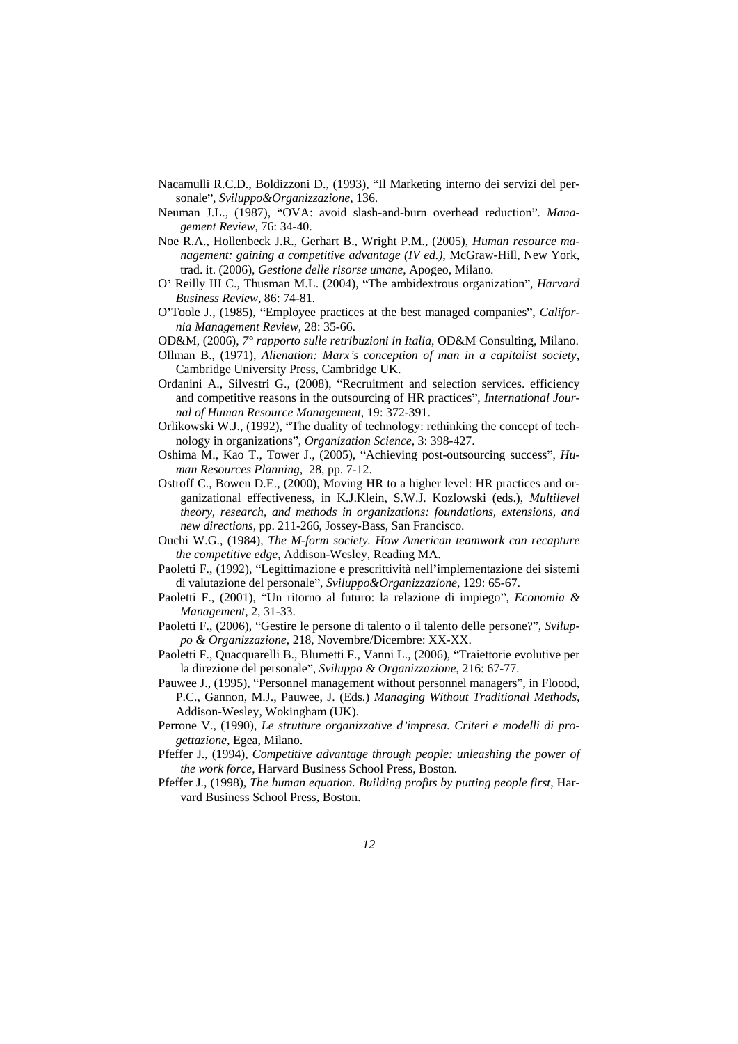- Nacamulli R.C.D., Boldizzoni D., (1993), "Il Marketing interno dei servizi del personale", *Sviluppo&Organizzazione*, 136.
- Neuman J.L., (1987), "OVA: avoid slash-and-burn overhead reduction". *Management Review*, 76: 34-40.
- Noe R.A., Hollenbeck J.R., Gerhart B., Wright P.M., (2005),*Human resource ma nagement: gaining a competitive advantage (IV ed.)*, McGraw-Hill, New York, trad. it. (2006), *Gestione delle risorse umane*, Apogeo, Milano.
- O' Reilly III C., Thusman M.L. (2004), "The ambidextrous organization", *Harvard Business Review*, 86: 74-81.
- O'Toole J., (1985), "Employee practices at the best managed companies", *California Management Review*, 28: 35-66.
- OD&M, (2006), *7° rapporto sulle retribuzioni in Italia*, OD&M Consulting, Milano.
- Ollman B., (1971), *Alienation: Marx <sup>s</sup> conception of man in <sup>a</sup> capitalist society*, Cambridge University Press, Cambridge UK.
- Ordanini A., Silvestri G., (2008), "Recruitment and selection services. efficiency and competitive reasons in the outsourcing of HR practices", *International Journal of Human Resource Management*, 19: 372-391.
- Orlikowski W.J., (1992), "The duality of technology: rethinking the concept of technology in organizations", *Organization Science*, 3: 398-427.
- Oshima M., Kao T., Tower J., (2005), "Achieving post-outsourcing success", *Human Resources Planning*, 28, pp. 7-12.
- Ostroff C., Bowen D.E., (2000), Moving HR to a higher level: HR practices and organizational effectiveness, in K.J.Klein, S.W.J. Kozlowski (eds.), *Multilevel theory, research, and methods in organizations: foundations, extensions, and new directions*, pp. 211-266, Jossey-Bass, San Francisco.
- Ouchi W.G., (1984), *The M-form society. How American teamwork can recapture the competitive edge*, Addison-Wesley, Reading MA.
- Paoletti F., (1992), "Legittimazione e prescrittività nell'implementazione dei sistemi di valutazione del personale", *Sviluppo&Organizzazione*, 129: 65-67.
- Paoletti F., (2001), "Un ritorno al futuro: la relazione di impiego", *Economia* & *Management*, 2, 31-33.
- Paoletti F., (2006), "Gestire le persone di talento o il talento delle persone?", *Sviluppo & Organizzazione*, 218, Novembre/Dicembre: XX-XX.
- Paoletti F., Quacquarelli B., Blumetti F., Vanni L., (2006), Traiettorie evolutive per la direzione del personale", *Sviluppo & Organizzazione*, 216: 67-77.
- Pauwee J., (1995), "Personnel management without personnel managers", in Floood, P.C., Gannon, M.J., Pauwee, J. (Eds.) *Managing Without Traditional Methods,*Addison-Wesley, Wokingham (UK).
- Perrone V., (1990), *Le strutture organizzative d impresa. Criteri e modelli di progettazione*, Egea, Milano.
- Pfeffer J., (1994), *Competitive advantage through people: unleashing the power of the work force*, Harvard Business School Press, Boston.
- Pfeffer J., (1998), *The human equation. Building profits by putting people first*, Harvard Business School Press, Boston.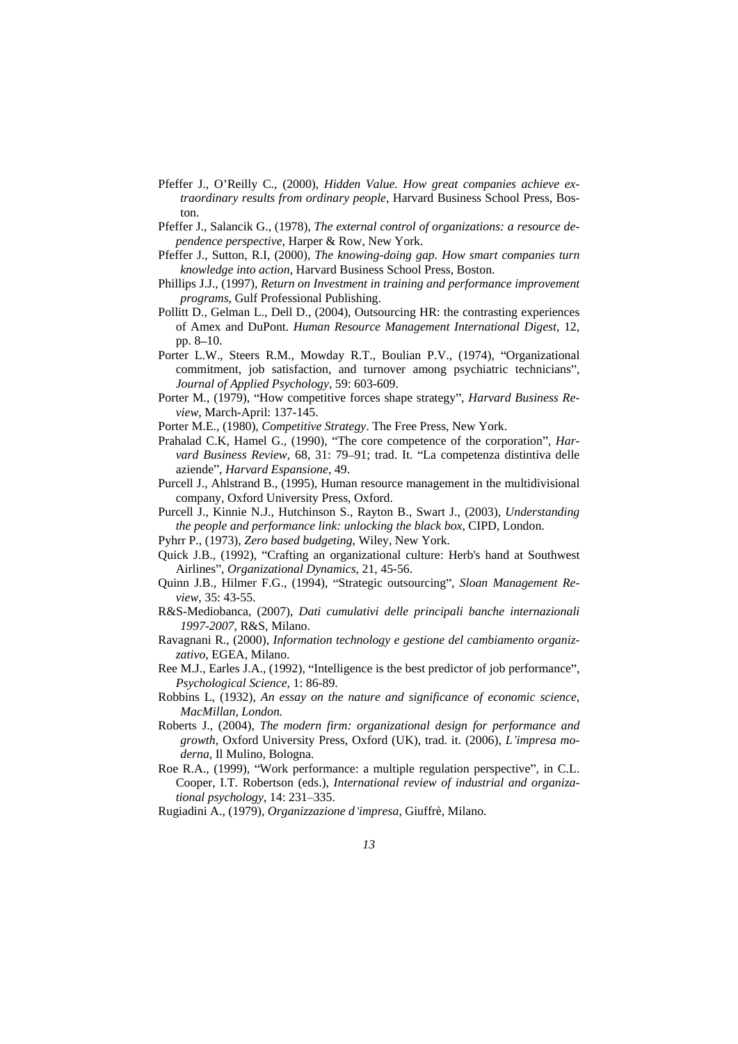- Pfeffer J., O Reilly C., (2000), *Hidden Value. How great companies achieve extraordinary results from ordinary people*, Harvard Business School Press, Boston.
- Pfeffer J., Salancik G., (1978), *The external control of organizations: a resource dependence perspective,* Harper & Row, New York.
- Pfeffer J., Sutton, R.I, (2000), *The knowing-doing gap. How smart companies turn knowledge into action*, Harvard Business School Press, Boston.
- Phillips J.J., (1997), *Return on Investment in training and performance improvement programs*, Gulf Professional Publishing.
- Pollitt D., Gelman L., Dell D., (2004), Outsourcing HR: the contrasting experiences of Amex and DuPont. *Human Resource Management International Digest*, 12,  $pp. 8-10.$
- Porter L.W., Steers R.M., Mowday R.T., Boulian P.V., (1974), "Organizational commitment, job satisfaction, and turnover among psychiatric technicians", *Journal of Applied Psychology*, 59: 603-609.
- Porter M., (1979), "How competitive forces shape strategy", *Harvard Business Review*, March-April: 137-145.
- Porter M.E., (1980), *Competitive Strategy*. The Free Press, New York.
- Prahalad C.K, Hamel G., (1990), "The core competence of the corporation", *Harvard Business Review, 68, 31: 79–91; trad. It. "La competenza distintiva delle* aziende", *Harvard Espansione*, 49.
- Purcell J., Ahlstrand B., (1995), Human resource management in the multidivisional company, Oxford University Press, Oxford.
- Purcell J., Kinnie N.J., Hutchinson S., Rayton B., Swart J., (2003), *Understanding the people and performance link: unlocking the black box,* CIPD, London.
- Pyhrr P., (1973), *Zero based budgeting*, Wiley, New York.
- Quick J.B., (1992), "Crafting an organizational culture: Herb's hand at Southwest Airlines , *Organizational Dynamics*, 21, 45-56.
- Quinn J.B., Hilmer F.G., (1994), "Strategic outsourcing", *Sloan Management Review*, 35: 43-55.
- R&S-Mediobanca, (2007), *Dati cumulativi delle principali banche internazionali 1997-2007*, R&S, Milano.
- Ravagnani R., (2000), *Information technology e gestione del cambiamento organizzativo*, EGEA, Milano.
- Ree M.J., Earles J.A., (1992), "Intelligence is the best predictor of job performance", *Psychological Science*, 1: 86-89.
- Robbins L, (1932), *An essay on the nature and significance of economic science, MacMillan, London.*
- Roberts J., (2004), *The modern firm: organizational design for performance and growth*, Oxford University Press, Oxford (UK), trad. it. (2006), *L impresa mo derna*, Il Mulino, Bologna.
- Roe R.A., (1999), "Work performance: a multiple regulation perspective", in C.L. Cooper, I.T. Robertson (eds.), *International review of industrial and organizational psychology*, 14: 231–335.
- Rugiadini A., (1979), *Organizzazione d impresa*, Giuffrè, Milano.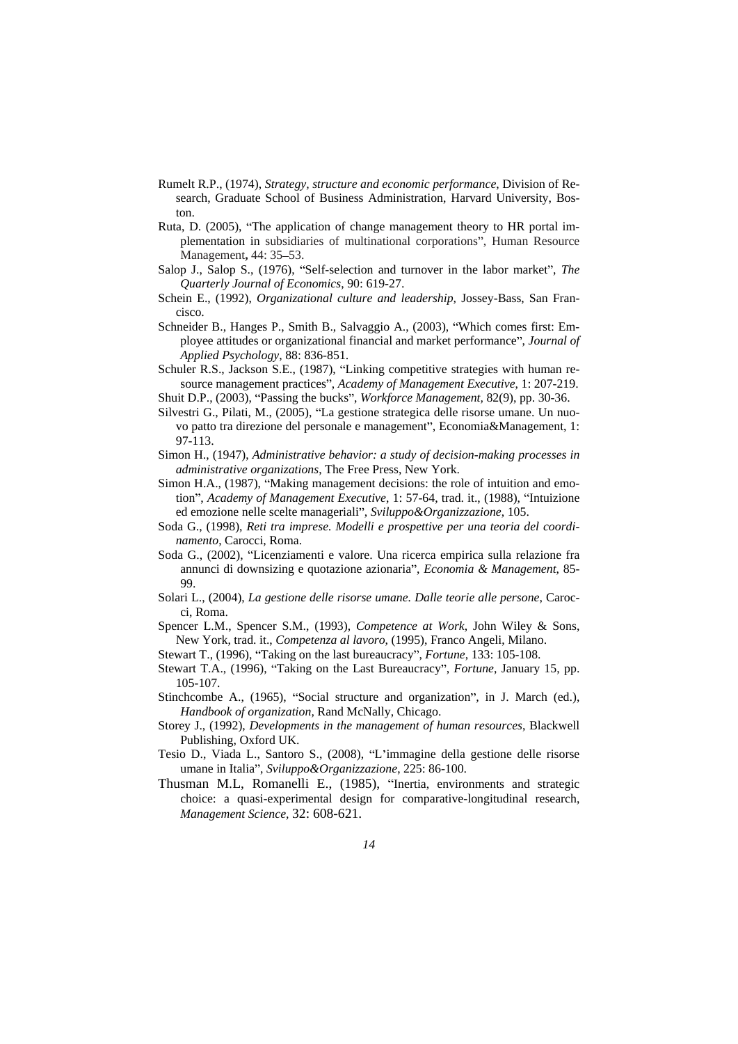- Rumelt R.P., (1974), *Strategy, structure and economic performance*, Division of Research, Graduate School of Business Administration, Harvard University, Boston.
- Ruta, D. (2005), "The application of change management theory to HR portal implementation in subsidiaries of multinational corporations", Human Resource Management**,** 44: 35 53.
- Salop J., Salop S., (1976), "Self-selection and turnover in the labor market", The *Quarterly Journal of Economics*, 90: 619-27.
- Schein E., (1992), *Organizational culture and leadership,* Jossey-Bass, San Francisco. The contract of the contract of the contract of the contract of the contract of the contract of the contract of the contract of the contract of the contract of the contract of the contract of the contract of the con
- Schneider B., Hanges P., Smith B., Salvaggio A., (2003), Which comes first: Employee attitudes or organizational financial and market performance", *Journal of Applied Psychology*, 88: 836-851.
- Schuler R.S., Jackson S.E., (1987), "Linking competitive strategies with human resource management practices", Academy of Management Executive, 1: 207-219. Shuit D.P., (2003), "Passing the bucks", *Workforce Management*, 82(9), pp. 30-36.
- 
- Silvestri G., Pilati, M., (2005), "La gestione strategica delle risorse umane. Un nuovo patto tra direzione del personale e management", Economia&Management, 1: 97-113.
- Simon H., (1947), *Administrative behavior: a study of decision-making processes in administrative organizations*, The Free Press, New York.
- Simon H.A., (1987), "Making management decisions: the role of intuition and emotion", *Academy of Management Executive*, 1: 57-64, trad. it., (1988), "Intuizione ed emozione nelle scelte manageriali", *Sviluppo&Organizzazione*, 105.
- Soda G., (1998), *Reti tra imprese. Modelli e prospettive per una teoria del coordinamento*, Carocci, Roma.
- Soda G., (2002), "Licenziamenti e valore. Una ricerca empirica sulla relazione fra annunci di downsizing e quotazione azionaria , *Economia & Management*, 85- 99.
- Solari L., (2004), *La gestione delle risorse umane. Dalle teorie alle persone*, Carocci, Roma.
- Spencer L.M., Spencer S.M., (1993), *Competence at Work*, John Wiley & Sons, New York, trad. it., *Competenza al lavoro*, (1995), Franco Angeli, Milano.
- Stewart T., (1996), "Taking on the last bureaucracy", *Fortune*, 133: 105-108.
- Stewart T.A., (1996), "Taking on the Last Bureaucracy", *Fortune*, January 15, pp. 105-107.
- Stinchcombe A., (1965), "Social structure and organization", in J. March (ed.), *Handbook of organization,* Rand McNally, Chicago.
- Storey J., (1992), *Developments in the management of human resources*, Blackwell Publishing, Oxford UK.
- Tesio D., Viada L., Santoro S., (2008), "L'immagine della gestione delle risorse umane in Italia". *Sviluppo&Organizzazione*, 225: 86-100.
- Thusman M.L, Romanelli E., (1985), "Inertia, environments and strategic choice: a quasi-experimental design for comparative-longitudinal research, *Management Science,* 32: 608-621.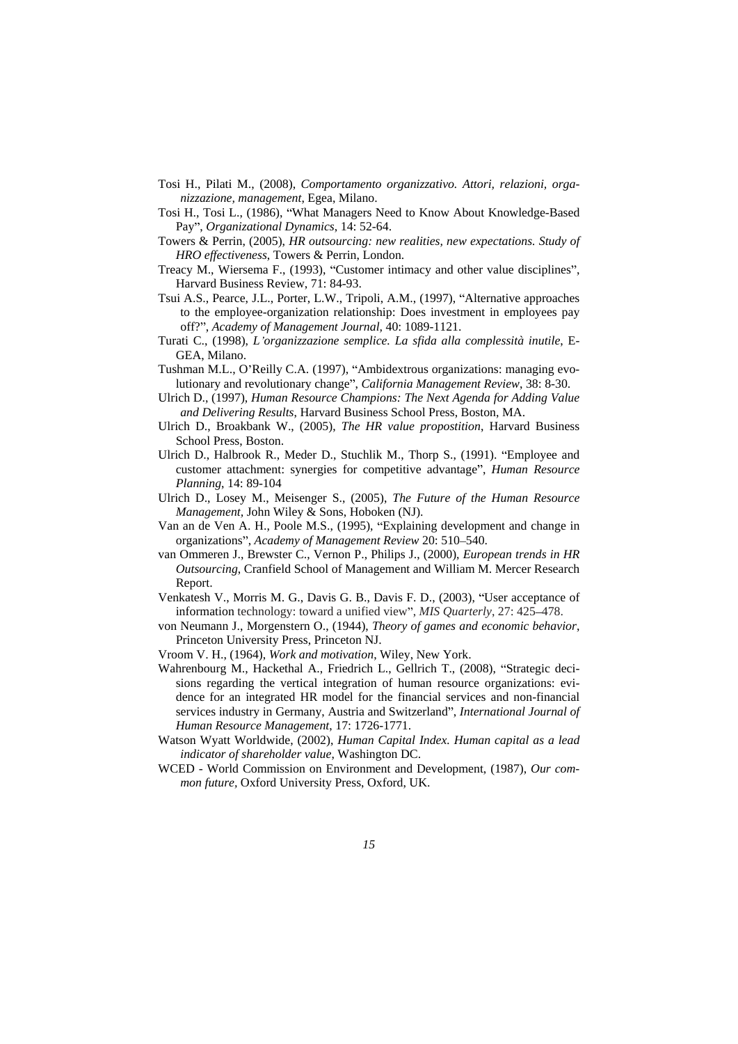- Tosi H., Pilati M., (2008), *Comportamento organizzativo. Attori, relazioni, orga nizzazione, management*, Egea, Milano.
- Tosi H., Tosi L., (1986), What Managers Need to Know About Knowledge-Based Pay , *Organizational Dynamics*, 14: 52-64.
- Towers & Perrin, (2005), *HR outsourcing: new realities, new expectations. Study of HRO effectiveness*, Towers & Perrin, London.
- Treacy M., Wiersema F., (1993), "Customer intimacy and other value disciplines", Harvard Business Review, 71: 84-93.
- Tsui A.S., Pearce, J.L., Porter, L.W., Tripoli, A.M., (1997), "Alternative approaches to the employee-organization relationship: Does investment in employees pay off? , *Academy of Management Journal,* 40: 1089-1121.
- Turati C., (1998), *L organizzazione semplice. La sfida alla complessità inutile*, E-GEA, Milano.
- Tushman M.L., O'Reilly C.A. (1997), "Ambidextrous organizations: managing evolutionary and revolutionary change , *California Management Review*, 38: 8-30.
- Ulrich D., (1997), *Human Resource Champions: The Next Agenda for Adding Value and Delivering Results*, Harvard Business School Press, Boston, MA.
- Ulrich D., Broakbank W., (2005), *The HR value propostition*, Harvard Business School Press, Boston.
- Ulrich D., Halbrook R., Meder D., Stuchlik M., Thorp S., (1991). "Employee and customer attachment: synergies for competitive advantage , *Human Resource Planning*, 14: 89-104
- Ulrich D., Losey M., Meisenger S., (2005), *The Future ofthe Human Resource Management,* John Wiley & Sons, Hoboken (NJ).
- Van an de Ven A. H., Poole M.S., (1995), Explaining development and change in organizations", *Academy of Management Review 20:* 510-540.
- van Ommeren J., Brewster C., Vernon P., Philips J., (2000), *European trends in HR Outsourcing*, Cranfield School of Management and William M. Mercer Research Report. **Example 20** No. 2014 12:30 and 20 No. 2014 2015 2016 2017 2018 2017 2018 2017 2018 2017 2018 2017 2018 2017 2018 2017 2018 2017 2018 2017 2018 2017 2018 2017 2018 2017 2018 2017 2018 2017 2018 2017 2018 2017 2018
- Venkatesh V., Morris M. G., Davis G. B., Davis F. D., (2003), "User acceptance of information technology: toward a unified view", *MIS Quarterly*, 27: 425–478.
- von Neumann J., Morgenstern O., (1944), *Theory of games and economic behavior*, Princeton University Press, Princeton NJ.
- Vroom V. H., (1964), *Work and motivation*, Wiley, New York.
- Wahrenbourg M., Hackethal A., Friedrich L., Gellrich T., (2008), "Strategic decisions regarding the vertical integration of human resource organizations: evidence for an integrated HR model for the financial services and non-financial services industry in Germany, Austria and Switzerland", *International Journal of Human Resource Management*, 17: 1726-1771.
- Watson Wyatt Worldwide, (2002), *Human Capital Index. Human capital as a lead indicator of shareholder value*, Washington DC.
- WCED World Commission on Environment and Development, (1987), *Our com mon future,* Oxford University Press, Oxford, UK.